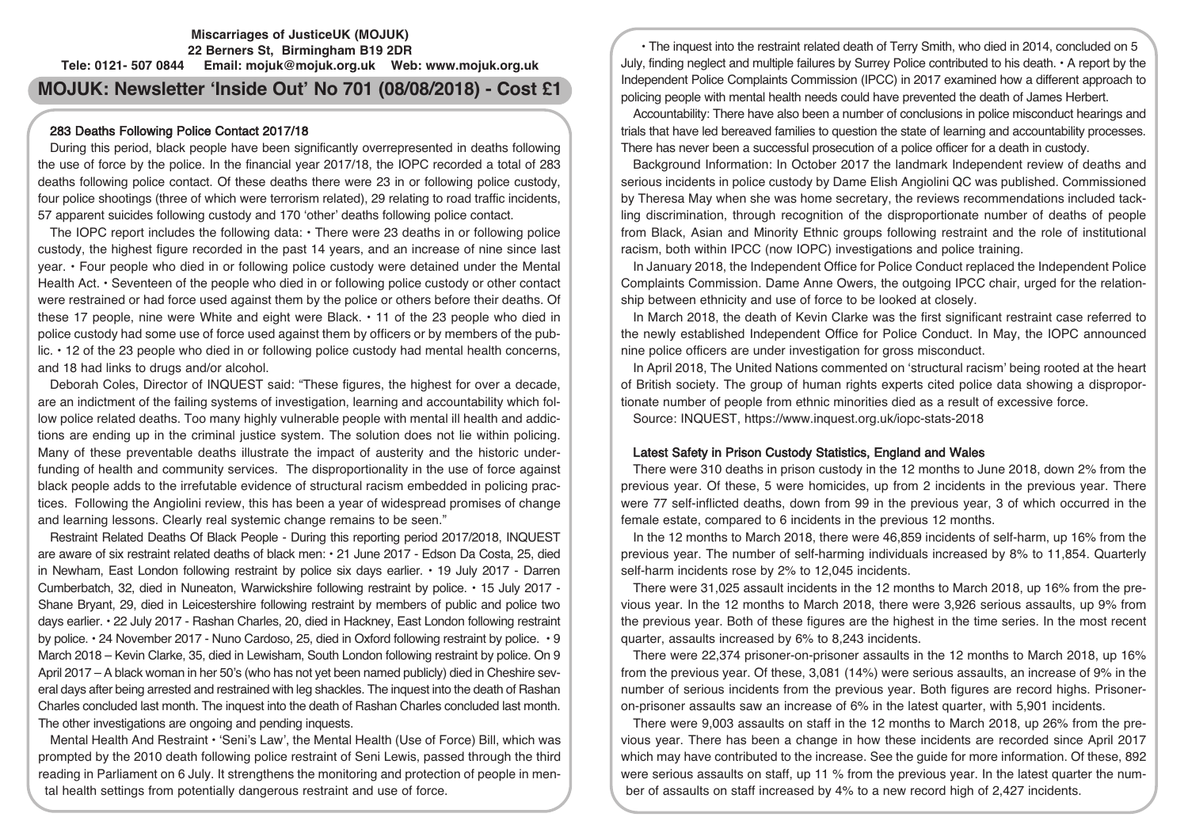## **Miscarriages of JusticeUK (MOJUK) 22 Berners St, Birmingham B19 2DR Tele: 0121- 507 0844 Email: mojuk@mojuk.org.uk Web: www.mojuk.org.uk**

# **MOJUK: Newsletter 'Inside Out' No 701 (08/08/2018) - Cost £1**

## 283 Deaths Following Police Contact 2017/18

During this period, black people have been significantly overrepresented in deaths following the use of force by the police. In the financial year 2017/18, the IOPC recorded a total of 283 deaths following police contact. Of these deaths there were 23 in or following police custody, four police shootings (three of which were terrorism related), 29 relating to road traffic incidents, 57 apparent suicides following custody and 170 'other' deaths following police contact.

The IOPC report includes the following data: • There were 23 deaths in or following police custody, the highest figure recorded in the past 14 years, and an increase of nine since last year. • Four people who died in or following police custody were detained under the Mental Health Act. • Seventeen of the people who died in or following police custody or other contact were restrained or had force used against them by the police or others before their deaths. Of these 17 people, nine were White and eight were Black. • 11 of the 23 people who died in police custody had some use of force used against them by officers or by members of the public. • 12 of the 23 people who died in or following police custody had mental health concerns, and 18 had links to drugs and/or alcohol.

Deborah Coles, Director of INQUEST said: "These figures, the highest for over a decade, are an indictment of the failing systems of investigation, learning and accountability which follow police related deaths. Too many highly vulnerable people with mental ill health and addictions are ending up in the criminal justice system. The solution does not lie within policing. Many of these preventable deaths illustrate the impact of austerity and the historic underfunding of health and community services. The disproportionality in the use of force against black people adds to the irrefutable evidence of structural racism embedded in policing practices. Following the Angiolini review, this has been a year of widespread promises of change and learning lessons. Clearly real systemic change remains to be seen."

Restraint Related Deaths Of Black People - During this reporting period 2017/2018, INQUEST are aware of six restraint related deaths of black men: • 21 June 2017 - Edson Da Costa, 25, died in Newham, East London following restraint by police six days earlier. • 19 July 2017 - Darren Cumberbatch, 32, died in Nuneaton, Warwickshire following restraint by police. • 15 July 2017 - Shane Bryant, 29, died in Leicestershire following restraint by members of public and police two days earlier. • 22 July 2017 - Rashan Charles, 20, died in Hackney, East London following restraint by police. • 24 November 2017 - Nuno Cardoso, 25, died in Oxford following restraint by police. • 9 March 2018 – Kevin Clarke, 35, died in Lewisham, South London following restraint by police. On 9 April 2017 – A black woman in her 50's (who has not yet been named publicly) died in Cheshire several days after being arrested and restrained with leg shackles. The inquest into the death of Rashan Charles concluded last month. The inquest into the death of Rashan Charles concluded last month. The other investigations are ongoing and pending inquests.

Mental Health And Restraint • 'Seni's Law', the Mental Health (Use of Force) Bill, which was prompted by the 2010 death following police restraint of Seni Lewis, passed through the third reading in Parliament on 6 July. It strengthens the monitoring and protection of people in mental health settings from potentially dangerous restraint and use of force.

• The inquest into the restraint related death of Terry Smith, who died in 2014, concluded on 5 July, finding neglect and multiple failures by Surrey Police contributed to his death. • A report by the Independent Police Complaints Commission (IPCC) in 2017 examined how a different approach to policing people with mental health needs could have prevented the death of James Herbert.

Accountability: There have also been a number of conclusions in police misconduct hearings and trials that have led bereaved families to question the state of learning and accountability processes. There has never been a successful prosecution of a police officer for a death in custody.

Background Information: In October 2017 the landmark Independent review of deaths and serious incidents in police custody by Dame Elish Angiolini QC was published. Commissioned by Theresa May when she was home secretary, the reviews recommendations included tackling discrimination, through recognition of the disproportionate number of deaths of people from Black, Asian and Minority Ethnic groups following restraint and the role of institutional racism, both within IPCC (now IOPC) investigations and police training.

In January 2018, the Independent Office for Police Conduct replaced the Independent Police Complaints Commission. Dame Anne Owers, the outgoing IPCC chair, urged for the relationship between ethnicity and use of force to be looked at closely.

In March 2018, the death of Kevin Clarke was the first significant restraint case referred to the newly established Independent Office for Police Conduct. In May, the IOPC announced nine police officers are under investigation for gross misconduct.

In April 2018, The United Nations commented on 'structural racism' being rooted at the heart of British society. The group of human rights experts cited police data showing a disproportionate number of people from ethnic minorities died as a result of excessive force. Source: INQUEST, https://www.inquest.org.uk/iopc-stats-2018

# Latest Safety in Prison Custody Statistics, England and Wales

There were 310 deaths in prison custody in the 12 months to June 2018, down 2% from the previous year. Of these, 5 were homicides, up from 2 incidents in the previous year. There were 77 self-inflicted deaths, down from 99 in the previous year, 3 of which occurred in the female estate, compared to 6 incidents in the previous 12 months.

In the 12 months to March 2018, there were 46,859 incidents of self-harm, up 16% from the previous year. The number of self-harming individuals increased by 8% to 11,854. Quarterly self-harm incidents rose by 2% to 12,045 incidents.

There were 31,025 assault incidents in the 12 months to March 2018, up 16% from the previous year. In the 12 months to March 2018, there were 3,926 serious assaults, up 9% from the previous year. Both of these figures are the highest in the time series. In the most recent quarter, assaults increased by 6% to 8,243 incidents.

There were 22,374 prisoner-on-prisoner assaults in the 12 months to March 2018, up 16% from the previous year. Of these, 3,081 (14%) were serious assaults, an increase of 9% in the number of serious incidents from the previous year. Both figures are record highs. Prisoneron-prisoner assaults saw an increase of 6% in the latest quarter, with 5,901 incidents.

There were 9,003 assaults on staff in the 12 months to March 2018, up 26% from the previous year. There has been a change in how these incidents are recorded since April 2017 which may have contributed to the increase. See the guide for more information. Of these, 892 were serious assaults on staff, up 11 % from the previous year. In the latest quarter the number of assaults on staff increased by 4% to a new record high of 2,427 incidents.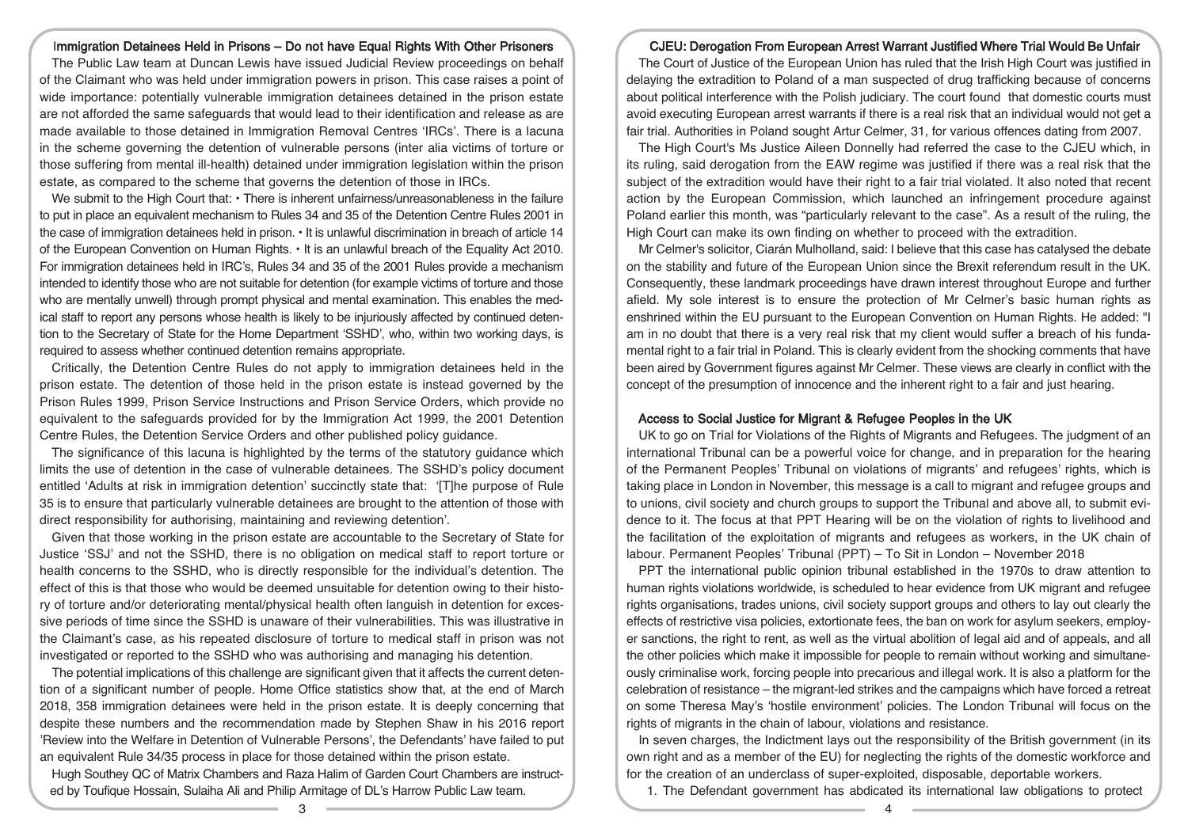## Immigration Detainees Held in Prisons – Do not have Equal Rights With Other Prisoners

The Public Law team at Duncan Lewis have issued Judicial Review proceedings on behalf of the Claimant who was held under immigration powers in prison. This case raises a point of wide importance: potentially vulnerable immigration detainees detained in the prison estate are not afforded the same safeguards that would lead to their identification and release as are made available to those detained in Immigration Removal Centres 'IRCs'. There is a lacuna in the scheme governing the detention of vulnerable persons (inter alia victims of torture or those suffering from mental ill-health) detained under immigration legislation within the prison estate, as compared to the scheme that governs the detention of those in IRCs.

We submit to the High Court that:  $\cdot$  There is inherent unfairness/unreasonableness in the failure to put in place an equivalent mechanism to Rules 34 and 35 of the Detention Centre Rules 2001 in the case of immigration detainees held in prison. • It is unlawful discrimination in breach of article 14 of the European Convention on Human Rights. • It is an unlawful breach of the Equality Act 2010. For immigration detainees held in IRC's, Rules 34 and 35 of the 2001 Rules provide a mechanism intended to identify those who are not suitable for detention (for example victims of torture and those who are mentally unwell) through prompt physical and mental examination. This enables the medical staff to report any persons whose health is likely to be injuriously affected by continued detention to the Secretary of State for the Home Department 'SSHD', who, within two working days, is required to assess whether continued detention remains appropriate.

Critically, the Detention Centre Rules do not apply to immigration detainees held in the prison estate. The detention of those held in the prison estate is instead governed by the Prison Rules 1999, Prison Service Instructions and Prison Service Orders, which provide no equivalent to the safeguards provided for by the Immigration Act 1999, the 2001 Detention Centre Rules, the Detention Service Orders and other published policy guidance.

The significance of this lacuna is highlighted by the terms of the statutory guidance which limits the use of detention in the case of vulnerable detainees. The SSHD's policy document entitled 'Adults at risk in immigration detention' succinctly state that: '[T]he purpose of Rule 35 is to ensure that particularly vulnerable detainees are brought to the attention of those with direct responsibility for authorising, maintaining and reviewing detention'.

Given that those working in the prison estate are accountable to the Secretary of State for Justice 'SSJ' and not the SSHD, there is no obligation on medical staff to report torture or health concerns to the SSHD, who is directly responsible for the individual's detention. The effect of this is that those who would be deemed unsuitable for detention owing to their history of torture and/or deteriorating mental/physical health often languish in detention for excessive periods of time since the SSHD is unaware of their vulnerabilities. This was illustrative in the Claimant's case, as his repeated disclosure of torture to medical staff in prison was not investigated or reported to the SSHD who was authorising and managing his detention.

The potential implications of this challenge are significant given that it affects the current detention of a significant number of people. Home Office statistics show that, at the end of March 2018, 358 immigration detainees were held in the prison estate. It is deeply concerning that despite these numbers and the recommendation made by Stephen Shaw in his 2016 report 'Review into the Welfare in Detention of Vulnerable Persons', the Defendants' have failed to put an equivalent Rule 34/35 process in place for those detained within the prison estate.

Hugh Southey QC of Matrix Chambers and Raza Halim of Garden Court Chambers are instructed by Toufique Hossain, Sulaiha Ali and Philip Armitage of DL's Harrow Public Law team.

#### CJEU: Derogation From European Arrest Warrant Justified Where Trial Would Be Unfair

The Court of Justice of the European Union has ruled that the Irish High Court was justified in delaying the extradition to Poland of a man suspected of drug trafficking because of concerns about political interference with the Polish judiciary. The court found that domestic courts must avoid executing European arrest warrants if there is a real risk that an individual would not get a fair trial. Authorities in Poland sought Artur Celmer, 31, for various offences dating from 2007.

The High Court's Ms Justice Aileen Donnelly had referred the case to the CJEU which, in its ruling, said derogation from the EAW regime was justified if there was a real risk that the subject of the extradition would have their right to a fair trial violated. It also noted that recent action by the European Commission, which launched an infringement procedure against Poland earlier this month, was "particularly relevant to the case". As a result of the ruling, the High Court can make its own finding on whether to proceed with the extradition.

Mr Celmer's solicitor, Ciarán Mulholland, said: I believe that this case has catalysed the debate on the stability and future of the European Union since the Brexit referendum result in the UK. Consequently, these landmark proceedings have drawn interest throughout Europe and further afield. My sole interest is to ensure the protection of Mr Celmer's basic human rights as enshrined within the EU pursuant to the European Convention on Human Rights. He added: "I am in no doubt that there is a very real risk that my client would suffer a breach of his fundamental right to a fair trial in Poland. This is clearly evident from the shocking comments that have been aired by Government figures against Mr Celmer. These views are clearly in conflict with the concept of the presumption of innocence and the inherent right to a fair and just hearing.

#### Access to Social Justice for Migrant & Refugee Peoples in the UK

UK to go on Trial for Violations of the Rights of Migrants and Refugees. The judgment of an international Tribunal can be a powerful voice for change, and in preparation for the hearing of the Permanent Peoples' Tribunal on violations of migrants' and refugees' rights, which is taking place in London in November, this message is a call to migrant and refugee groups and to unions, civil society and church groups to support the Tribunal and above all, to submit evidence to it. The focus at that PPT Hearing will be on the violation of rights to livelihood and the facilitation of the exploitation of migrants and refugees as workers, in the UK chain of labour. Permanent Peoples' Tribunal (PPT) – To Sit in London – November 2018

PPT the international public opinion tribunal established in the 1970s to draw attention to human rights violations worldwide, is scheduled to hear evidence from UK migrant and refugee rights organisations, trades unions, civil society support groups and others to lay out clearly the effects of restrictive visa policies, extortionate fees, the ban on work for asylum seekers, employer sanctions, the right to rent, as well as the virtual abolition of legal aid and of appeals, and all the other policies which make it impossible for people to remain without working and simultaneously criminalise work, forcing people into precarious and illegal work. It is also a platform for the celebration of resistance – the migrant-led strikes and the campaigns which have forced a retreat on some Theresa May's 'hostile environment' policies. The London Tribunal will focus on the rights of migrants in the chain of labour, violations and resistance.

In seven charges, the Indictment lays out the responsibility of the British government (in its own right and as a member of the EU) for neglecting the rights of the domestic workforce and for the creation of an underclass of super-exploited, disposable, deportable workers.

1. The Defendant government has abdicated its international law obligations to protect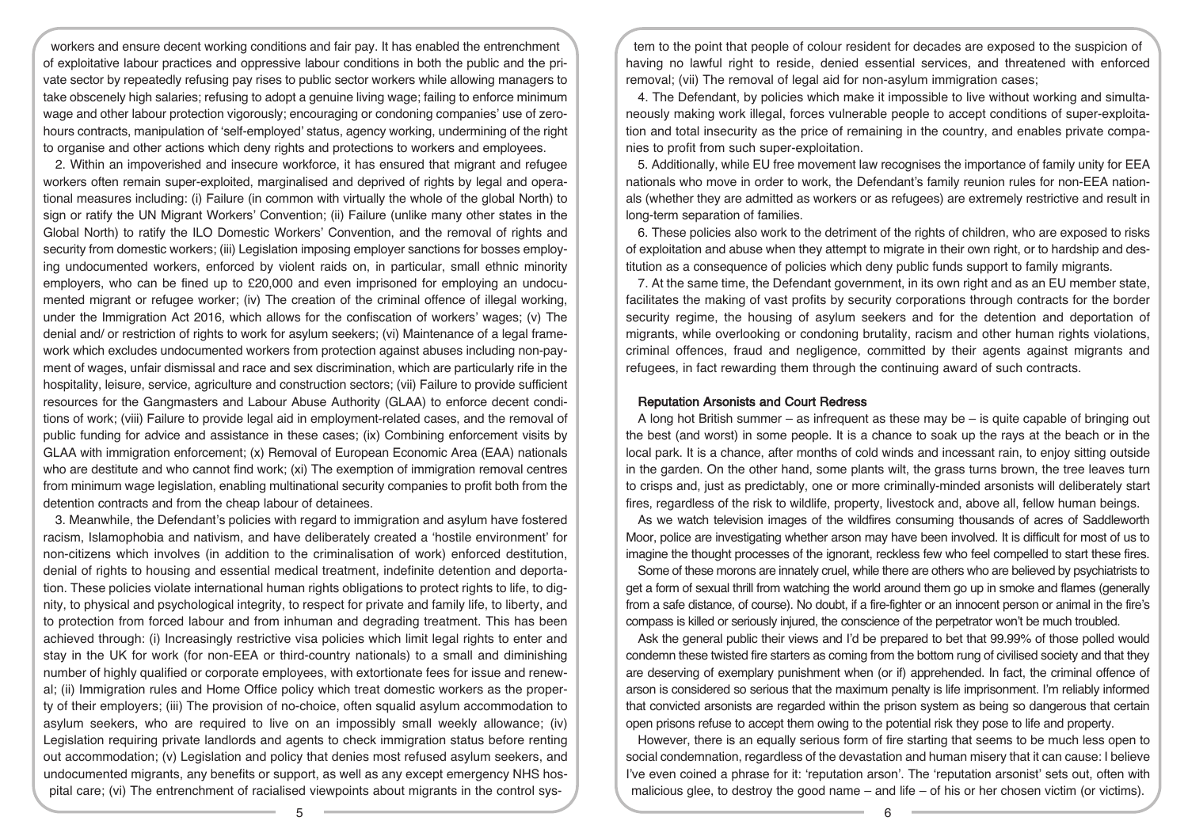workers and ensure decent working conditions and fair pay. It has enabled the entrenchment of exploitative labour practices and oppressive labour conditions in both the public and the private sector by repeatedly refusing pay rises to public sector workers while allowing managers to take obscenely high salaries; refusing to adopt a genuine living wage; failing to enforce minimum wage and other labour protection vigorously; encouraging or condoning companies' use of zerohours contracts, manipulation of 'self-employed' status, agency working, undermining of the right to organise and other actions which deny rights and protections to workers and employees.

2. Within an impoverished and insecure workforce, it has ensured that migrant and refugee workers often remain super-exploited, marginalised and deprived of rights by legal and operational measures including: (i) Failure (in common with virtually the whole of the global North) to sign or ratify the UN Migrant Workers' Convention; (ii) Failure (unlike many other states in the Global North) to ratify the ILO Domestic Workers' Convention, and the removal of rights and security from domestic workers; (iii) Legislation imposing employer sanctions for bosses employing undocumented workers, enforced by violent raids on, in particular, small ethnic minority employers, who can be fined up to £20,000 and even imprisoned for employing an undocumented migrant or refugee worker; (iv) The creation of the criminal offence of illegal working, under the Immigration Act 2016, which allows for the confiscation of workers' wages; (v) The denial and/ or restriction of rights to work for asylum seekers; (vi) Maintenance of a legal framework which excludes undocumented workers from protection against abuses including non-payment of wages, unfair dismissal and race and sex discrimination, which are particularly rife in the hospitality, leisure, service, agriculture and construction sectors; (vii) Failure to provide sufficient resources for the Gangmasters and Labour Abuse Authority (GLAA) to enforce decent conditions of work; (viii) Failure to provide legal aid in employment-related cases, and the removal of public funding for advice and assistance in these cases; (ix) Combining enforcement visits by GLAA with immigration enforcement; (x) Removal of European Economic Area (EAA) nationals who are destitute and who cannot find work; (xi) The exemption of immigration removal centres from minimum wage legislation, enabling multinational security companies to profit both from the detention contracts and from the cheap labour of detainees.

3. Meanwhile, the Defendant's policies with regard to immigration and asylum have fostered racism, Islamophobia and nativism, and have deliberately created a 'hostile environment' for non-citizens which involves (in addition to the criminalisation of work) enforced destitution, denial of rights to housing and essential medical treatment, indefinite detention and deportation. These policies violate international human rights obligations to protect rights to life, to dignity, to physical and psychological integrity, to respect for private and family life, to liberty, and to protection from forced labour and from inhuman and degrading treatment. This has been achieved through: (i) Increasingly restrictive visa policies which limit legal rights to enter and stay in the UK for work (for non-EEA or third-country nationals) to a small and diminishing number of highly qualified or corporate employees, with extortionate fees for issue and renewal; (ii) Immigration rules and Home Office policy which treat domestic workers as the property of their employers; (iii) The provision of no-choice, often squalid asylum accommodation to asylum seekers, who are required to live on an impossibly small weekly allowance; (iv) Legislation requiring private landlords and agents to check immigration status before renting out accommodation; (v) Legislation and policy that denies most refused asylum seekers, and undocumented migrants, any benefits or support, as well as any except emergency NHS hospital care; (vi) The entrenchment of racialised viewpoints about migrants in the control sys-

tem to the point that people of colour resident for decades are exposed to the suspicion of having no lawful right to reside, denied essential services, and threatened with enforced removal; (vii) The removal of legal aid for non-asylum immigration cases;

4. The Defendant, by policies which make it impossible to live without working and simultaneously making work illegal, forces vulnerable people to accept conditions of super-exploitation and total insecurity as the price of remaining in the country, and enables private companies to profit from such super-exploitation.

5. Additionally, while EU free movement law recognises the importance of family unity for EEA nationals who move in order to work, the Defendant's family reunion rules for non-EEA nationals (whether they are admitted as workers or as refugees) are extremely restrictive and result in long-term separation of families.

6. These policies also work to the detriment of the rights of children, who are exposed to risks of exploitation and abuse when they attempt to migrate in their own right, or to hardship and destitution as a consequence of policies which deny public funds support to family migrants.

7. At the same time, the Defendant government, in its own right and as an EU member state, facilitates the making of vast profits by security corporations through contracts for the border security regime, the housing of asylum seekers and for the detention and deportation of migrants, while overlooking or condoning brutality, racism and other human rights violations, criminal offences, fraud and negligence, committed by their agents against migrants and refugees, in fact rewarding them through the continuing award of such contracts.

## Reputation Arsonists and Court Redress

A long hot British summer – as infrequent as these may be – is quite capable of bringing out the best (and worst) in some people. It is a chance to soak up the rays at the beach or in the local park. It is a chance, after months of cold winds and incessant rain, to enjoy sitting outside in the garden. On the other hand, some plants wilt, the grass turns brown, the tree leaves turn to crisps and, just as predictably, one or more criminally-minded arsonists will deliberately start fires, regardless of the risk to wildlife, property, livestock and, above all, fellow human beings.

As we watch television images of the wildfires consuming thousands of acres of Saddleworth Moor, police are investigating whether arson may have been involved. It is difficult for most of us to imagine the thought processes of the ignorant, reckless few who feel compelled to start these fires.

Some of these morons are innately cruel, while there are others who are believed by psychiatrists to get a form of sexual thrill from watching the world around them go up in smoke and flames (generally from a safe distance, of course). No doubt, if a fire-fighter or an innocent person or animal in the fire's compass is killed or seriously injured, the conscience of the perpetrator won't be much troubled.

Ask the general public their views and I'd be prepared to bet that 99.99% of those polled would condemn these twisted fire starters as coming from the bottom rung of civilised society and that they are deserving of exemplary punishment when (or if) apprehended. In fact, the criminal offence of arson is considered so serious that the maximum penalty is life imprisonment. I'm reliably informed that convicted arsonists are regarded within the prison system as being so dangerous that certain open prisons refuse to accept them owing to the potential risk they pose to life and property.

However, there is an equally serious form of fire starting that seems to be much less open to social condemnation, regardless of the devastation and human misery that it can cause: I believe I've even coined a phrase for it: 'reputation arson'. The 'reputation arsonist' sets out, often with malicious glee, to destroy the good name – and life – of his or her chosen victim (or victims).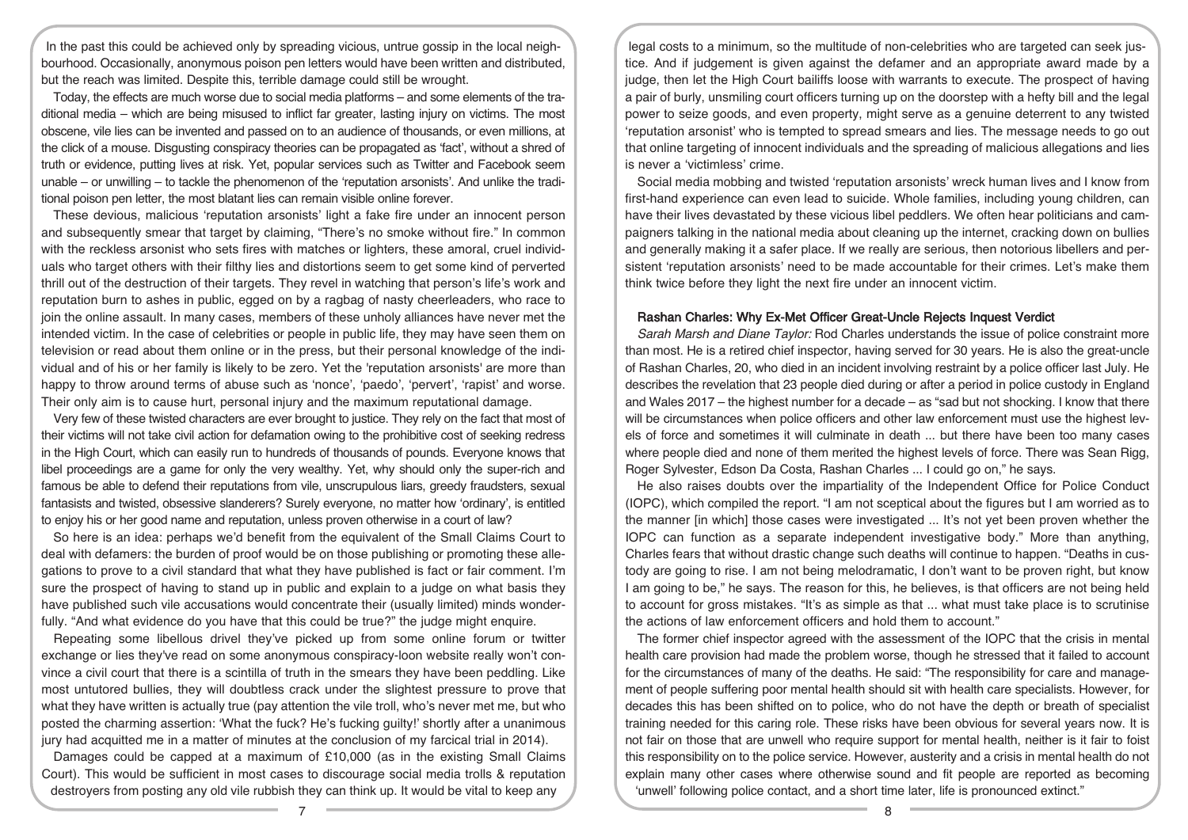In the past this could be achieved only by spreading vicious, untrue gossip in the local neighbourhood. Occasionally, anonymous poison pen letters would have been written and distributed, but the reach was limited. Despite this, terrible damage could still be wrought.

Today, the effects are much worse due to social media platforms – and some elements of the traditional media – which are being misused to inflict far greater, lasting injury on victims. The most obscene, vile lies can be invented and passed on to an audience of thousands, or even millions, at the click of a mouse. Disgusting conspiracy theories can be propagated as 'fact', without a shred of truth or evidence, putting lives at risk. Yet, popular services such as Twitter and Facebook seem unable – or unwilling – to tackle the phenomenon of the 'reputation arsonists'. And unlike the traditional poison pen letter, the most blatant lies can remain visible online forever.

These devious, malicious 'reputation arsonists' light a fake fire under an innocent person and subsequently smear that target by claiming, "There's no smoke without fire." In common with the reckless arsonist who sets fires with matches or lighters, these amoral, cruel individuals who target others with their filthy lies and distortions seem to get some kind of perverted thrill out of the destruction of their targets. They revel in watching that person's life's work and reputation burn to ashes in public, egged on by a ragbag of nasty cheerleaders, who race to join the online assault. In many cases, members of these unholy alliances have never met the intended victim. In the case of celebrities or people in public life, they may have seen them on television or read about them online or in the press, but their personal knowledge of the individual and of his or her family is likely to be zero. Yet the 'reputation arsonists' are more than happy to throw around terms of abuse such as 'nonce', 'paedo', 'pervert', 'rapist' and worse. Their only aim is to cause hurt, personal injury and the maximum reputational damage.

Very few of these twisted characters are ever brought to justice. They rely on the fact that most of their victims will not take civil action for defamation owing to the prohibitive cost of seeking redress in the High Court, which can easily run to hundreds of thousands of pounds. Everyone knows that libel proceedings are a game for only the very wealthy. Yet, why should only the super-rich and famous be able to defend their reputations from vile, unscrupulous liars, greedy fraudsters, sexual fantasists and twisted, obsessive slanderers? Surely everyone, no matter how 'ordinary', is entitled to enjoy his or her good name and reputation, unless proven otherwise in a court of law?

So here is an idea: perhaps we'd benefit from the equivalent of the Small Claims Court to deal with defamers: the burden of proof would be on those publishing or promoting these allegations to prove to a civil standard that what they have published is fact or fair comment. I'm sure the prospect of having to stand up in public and explain to a judge on what basis they have published such vile accusations would concentrate their (usually limited) minds wonderfully. "And what evidence do you have that this could be true?" the judge might enquire.

Repeating some libellous drivel they've picked up from some online forum or twitter exchange or lies they've read on some anonymous conspiracy-loon website really won't convince a civil court that there is a scintilla of truth in the smears they have been peddling. Like most untutored bullies, they will doubtless crack under the slightest pressure to prove that what they have written is actually true (pay attention the vile troll, who's never met me, but who posted the charming assertion: 'What the fuck? He's fucking guilty!' shortly after a unanimous jury had acquitted me in a matter of minutes at the conclusion of my farcical trial in 2014).

Damages could be capped at a maximum of £10,000 (as in the existing Small Claims Court). This would be sufficient in most cases to discourage social media trolls & reputation destroyers from posting any old vile rubbish they can think up. It would be vital to keep any

legal costs to a minimum, so the multitude of non-celebrities who are targeted can seek justice. And if judgement is given against the defamer and an appropriate award made by a judge, then let the High Court bailiffs loose with warrants to execute. The prospect of having a pair of burly, unsmiling court officers turning up on the doorstep with a hefty bill and the legal power to seize goods, and even property, might serve as a genuine deterrent to any twisted 'reputation arsonist' who is tempted to spread smears and lies. The message needs to go out that online targeting of innocent individuals and the spreading of malicious allegations and lies is never a 'victimless' crime.

Social media mobbing and twisted 'reputation arsonists' wreck human lives and I know from first-hand experience can even lead to suicide. Whole families, including young children, can have their lives devastated by these vicious libel peddlers. We often hear politicians and campaigners talking in the national media about cleaning up the internet, cracking down on bullies and generally making it a safer place. If we really are serious, then notorious libellers and persistent 'reputation arsonists' need to be made accountable for their crimes. Let's make them think twice before they light the next fire under an innocent victim.

#### Rashan Charles: Why Ex-Met Officer Great-Uncle Rejects Inquest Verdict

Sarah Marsh and Diane Taylor: Rod Charles understands the issue of police constraint more than most. He is a retired chief inspector, having served for 30 years. He is also the great-uncle of Rashan Charles, 20, who died in an incident involving restraint by a police officer last July. He describes the revelation that 23 people died during or after a period in police custody in England and Wales 2017 – the highest number for a decade – as "sad but not shocking. I know that there will be circumstances when police officers and other law enforcement must use the highest levels of force and sometimes it will culminate in death ... but there have been too many cases where people died and none of them merited the highest levels of force. There was Sean Rigg, Roger Sylvester, Edson Da Costa, Rashan Charles ... I could go on," he says.

He also raises doubts over the impartiality of the Independent Office for Police Conduct (IOPC), which compiled the report. "I am not sceptical about the figures but I am worried as to the manner [in which] those cases were investigated ... It's not yet been proven whether the IOPC can function as a separate independent investigative body." More than anything, Charles fears that without drastic change such deaths will continue to happen. "Deaths in custody are going to rise. I am not being melodramatic, I don't want to be proven right, but know I am going to be," he says. The reason for this, he believes, is that officers are not being held to account for gross mistakes. "It's as simple as that ... what must take place is to scrutinise the actions of law enforcement officers and hold them to account."

The former chief inspector agreed with the assessment of the IOPC that the crisis in mental health care provision had made the problem worse, though he stressed that it failed to account for the circumstances of many of the deaths. He said: "The responsibility for care and management of people suffering poor mental health should sit with health care specialists. However, for decades this has been shifted on to police, who do not have the depth or breath of specialist training needed for this caring role. These risks have been obvious for several years now. It is not fair on those that are unwell who require support for mental health, neither is it fair to foist this responsibility on to the police service. However, austerity and a crisis in mental health do not explain many other cases where otherwise sound and fit people are reported as becoming 'unwell' following police contact, and a short time later, life is pronounced extinct."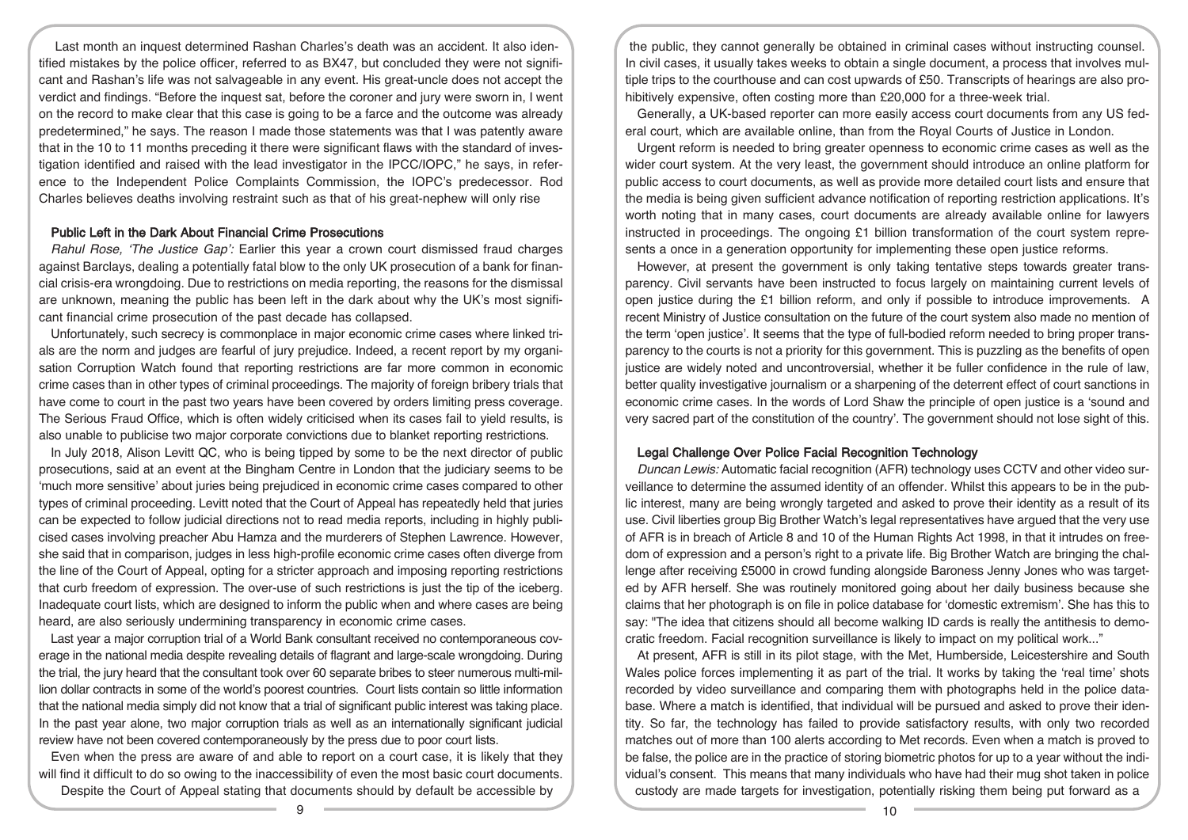Last month an inquest determined Rashan Charles's death was an accident. It also identified mistakes by the police officer, referred to as BX47, but concluded they were not significant and Rashan's life was not salvageable in any event. His great-uncle does not accept the verdict and findings. "Before the inquest sat, before the coroner and jury were sworn in, I went on the record to make clear that this case is going to be a farce and the outcome was already predetermined," he says. The reason I made those statements was that I was patently aware that in the 10 to 11 months preceding it there were significant flaws with the standard of investigation identified and raised with the lead investigator in the IPCC/IOPC," he says, in reference to the Independent Police Complaints Commission, the IOPC's predecessor. Rod Charles believes deaths involving restraint such as that of his great-nephew will only rise

#### Public Left in the Dark About Financial Crime Prosecutions

Rahul Rose, 'The Justice Gap': Earlier this year a crown court dismissed fraud charges against Barclays, dealing a potentially fatal blow to the only UK prosecution of a bank for financial crisis-era wrongdoing. Due to restrictions on media reporting, the reasons for the dismissal are unknown, meaning the public has been left in the dark about why the UK's most significant financial crime prosecution of the past decade has collapsed.

Unfortunately, such secrecy is commonplace in major economic crime cases where linked trials are the norm and judges are fearful of jury prejudice. Indeed, a recent report by my organisation Corruption Watch found that reporting restrictions are far more common in economic crime cases than in other types of criminal proceedings. The majority of foreign bribery trials that have come to court in the past two years have been covered by orders limiting press coverage. The Serious Fraud Office, which is often widely criticised when its cases fail to yield results, is also unable to publicise two major corporate convictions due to blanket reporting restrictions.

In July 2018, Alison Levitt QC, who is being tipped by some to be the next director of public prosecutions, said at an event at the Bingham Centre in London that the judiciary seems to be 'much more sensitive' about juries being prejudiced in economic crime cases compared to other types of criminal proceeding. Levitt noted that the Court of Appeal has repeatedly held that juries can be expected to follow judicial directions not to read media reports, including in highly publicised cases involving preacher Abu Hamza and the murderers of Stephen Lawrence. However, she said that in comparison, judges in less high-profile economic crime cases often diverge from the line of the Court of Appeal, opting for a stricter approach and imposing reporting restrictions that curb freedom of expression. The over-use of such restrictions is just the tip of the iceberg. Inadequate court lists, which are designed to inform the public when and where cases are being heard, are also seriously undermining transparency in economic crime cases.

Last year a major corruption trial of a World Bank consultant received no contemporaneous coverage in the national media despite revealing details of flagrant and large-scale wrongdoing. During the trial, the jury heard that the consultant took over 60 separate bribes to steer numerous multi-million dollar contracts in some of the world's poorest countries. Court lists contain so little information that the national media simply did not know that a trial of significant public interest was taking place. In the past year alone, two major corruption trials as well as an internationally significant judicial review have not been covered contemporaneously by the press due to poor court lists.

Even when the press are aware of and able to report on a court case, it is likely that they will find it difficult to do so owing to the inaccessibility of even the most basic court documents.

Despite the Court of Appeal stating that documents should by default be accessible by

the public, they cannot generally be obtained in criminal cases without instructing counsel. In civil cases, it usually takes weeks to obtain a single document, a process that involves multiple trips to the courthouse and can cost upwards of £50. Transcripts of hearings are also prohibitively expensive, often costing more than £20,000 for a three-week trial.

Generally, a UK-based reporter can more easily access court documents from any US federal court, which are available online, than from the Royal Courts of Justice in London.

Urgent reform is needed to bring greater openness to economic crime cases as well as the wider court system. At the very least, the government should introduce an online platform for public access to court documents, as well as provide more detailed court lists and ensure that the media is being given sufficient advance notification of reporting restriction applications. It's worth noting that in many cases, court documents are already available online for lawyers instructed in proceedings. The ongoing £1 billion transformation of the court system represents a once in a generation opportunity for implementing these open justice reforms.

However, at present the government is only taking tentative steps towards greater transparency. Civil servants have been instructed to focus largely on maintaining current levels of open justice during the £1 billion reform, and only if possible to introduce improvements. A recent Ministry of Justice consultation on the future of the court system also made no mention of the term 'open justice'. It seems that the type of full-bodied reform needed to bring proper transparency to the courts is not a priority for this government. This is puzzling as the benefits of open justice are widely noted and uncontroversial, whether it be fuller confidence in the rule of law, better quality investigative journalism or a sharpening of the deterrent effect of court sanctions in economic crime cases. In the words of Lord Shaw the principle of open justice is a 'sound and very sacred part of the constitution of the country'. The government should not lose sight of this.

## Legal Challenge Over Police Facial Recognition Technology

Duncan Lewis: Automatic facial recognition (AFR) technology uses CCTV and other video surveillance to determine the assumed identity of an offender. Whilst this appears to be in the public interest, many are being wrongly targeted and asked to prove their identity as a result of its use. Civil liberties group Big Brother Watch's legal representatives have argued that the very use of AFR is in breach of Article 8 and 10 of the Human Rights Act 1998, in that it intrudes on freedom of expression and a person's right to a private life. Big Brother Watch are bringing the challenge after receiving £5000 in crowd funding alongside Baroness Jenny Jones who was targeted by AFR herself. She was routinely monitored going about her daily business because she claims that her photograph is on file in police database for 'domestic extremism'. She has this to say: "The idea that citizens should all become walking ID cards is really the antithesis to democratic freedom. Facial recognition surveillance is likely to impact on my political work..."

At present, AFR is still in its pilot stage, with the Met, Humberside, Leicestershire and South Wales police forces implementing it as part of the trial. It works by taking the 'real time' shots recorded by video surveillance and comparing them with photographs held in the police database. Where a match is identified, that individual will be pursued and asked to prove their identity. So far, the technology has failed to provide satisfactory results, with only two recorded matches out of more than 100 alerts according to Met records. Even when a match is proved to be false, the police are in the practice of storing biometric photos for up to a year without the individual's consent. This means that many individuals who have had their mug shot taken in police custody are made targets for investigation, potentially risking them being put forward as a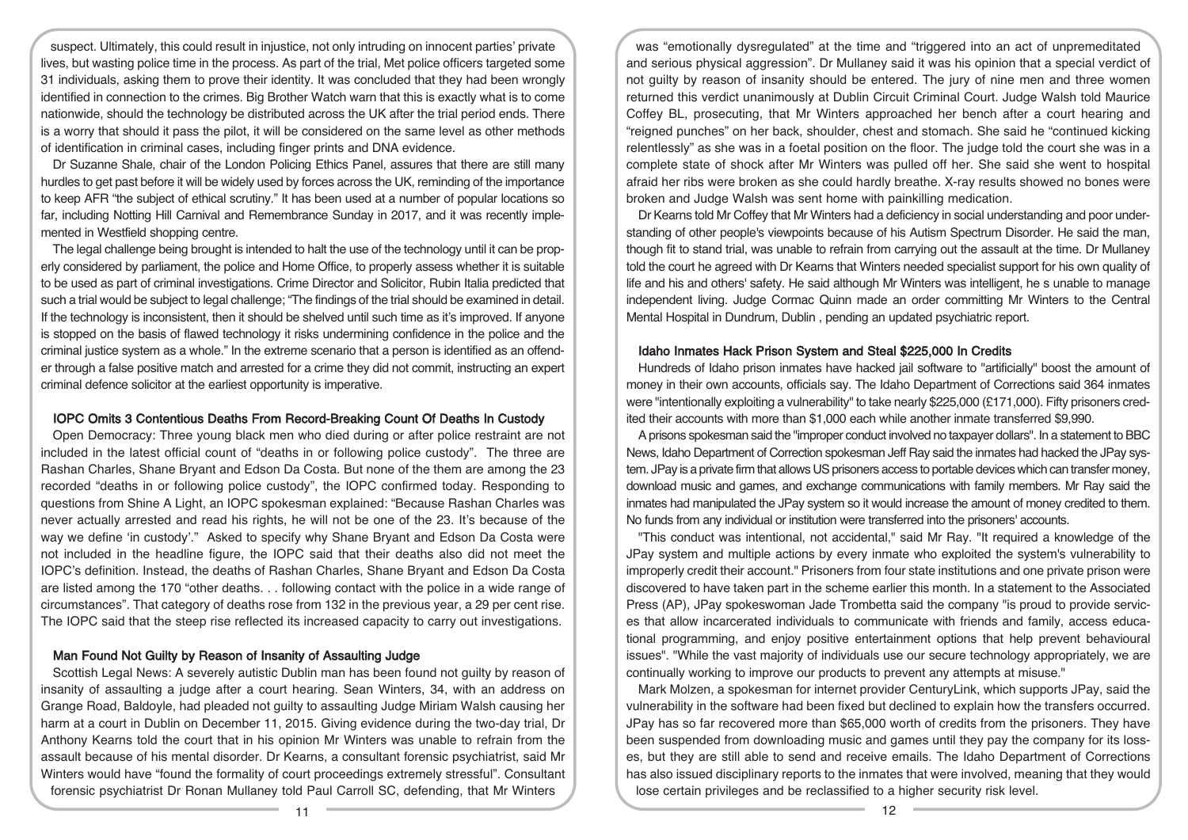suspect. Ultimately, this could result in injustice, not only intruding on innocent parties' private lives, but wasting police time in the process. As part of the trial, Met police officers targeted some 31 individuals, asking them to prove their identity. It was concluded that they had been wrongly identified in connection to the crimes. Big Brother Watch warn that this is exactly what is to come nationwide, should the technology be distributed across the UK after the trial period ends. There is a worry that should it pass the pilot, it will be considered on the same level as other methods of identification in criminal cases, including finger prints and DNA evidence.

Dr Suzanne Shale, chair of the London Policing Ethics Panel, assures that there are still many hurdles to get past before it will be widely used by forces across the UK, reminding of the importance to keep AFR "the subject of ethical scrutiny." It has been used at a number of popular locations so far, including Notting Hill Carnival and Remembrance Sunday in 2017, and it was recently implemented in Westfield shopping centre.

The legal challenge being brought is intended to halt the use of the technology until it can be properly considered by parliament, the police and Home Office, to properly assess whether it is suitable to be used as part of criminal investigations. Crime Director and Solicitor, Rubin Italia predicted that such a trial would be subject to legal challenge; "The findings of the trial should be examined in detail. If the technology is inconsistent, then it should be shelved until such time as it's improved. If anyone is stopped on the basis of flawed technology it risks undermining confidence in the police and the criminal justice system as a whole." In the extreme scenario that a person is identified as an offender through a false positive match and arrested for a crime they did not commit, instructing an expert criminal defence solicitor at the earliest opportunity is imperative.

#### IOPC Omits 3 Contentious Deaths From Record-Breaking Count Of Deaths In Custody

Open Democracy: Three young black men who died during or after police restraint are not included in the latest official count of "deaths in or following police custody". The three are Rashan Charles, Shane Bryant and Edson Da Costa. But none of the them are among the 23 recorded "deaths in or following police custody", the IOPC confirmed today. Responding to questions from Shine A Light, an IOPC spokesman explained: "Because Rashan Charles was never actually arrested and read his rights, he will not be one of the 23. It's because of the way we define 'in custody'." Asked to specify why Shane Bryant and Edson Da Costa were not included in the headline figure, the IOPC said that their deaths also did not meet the IOPC's definition. Instead, the deaths of Rashan Charles, Shane Bryant and Edson Da Costa are listed among the 170 "other deaths. . . following contact with the police in a wide range of circumstances". That category of deaths rose from 132 in the previous year, a 29 per cent rise. The IOPC said that the steep rise reflected its increased capacity to carry out investigations.

## Man Found Not Guilty by Reason of Insanity of Assaulting Judge

Scottish Legal News: A severely autistic Dublin man has been found not guilty by reason of insanity of assaulting a judge after a court hearing. Sean Winters, 34, with an address on Grange Road, Baldoyle, had pleaded not guilty to assaulting Judge Miriam Walsh causing her harm at a court in Dublin on December 11, 2015. Giving evidence during the two-day trial, Dr Anthony Kearns told the court that in his opinion Mr Winters was unable to refrain from the assault because of his mental disorder. Dr Kearns, a consultant forensic psychiatrist, said Mr Winters would have "found the formality of court proceedings extremely stressful". Consultant forensic psychiatrist Dr Ronan Mullaney told Paul Carroll SC, defending, that Mr Winters

was "emotionally dysregulated" at the time and "triggered into an act of unpremeditated and serious physical aggression". Dr Mullaney said it was his opinion that a special verdict of not guilty by reason of insanity should be entered. The jury of nine men and three women returned this verdict unanimously at Dublin Circuit Criminal Court. Judge Walsh told Maurice Coffey BL, prosecuting, that Mr Winters approached her bench after a court hearing and "reigned punches" on her back, shoulder, chest and stomach. She said he "continued kicking relentlessly" as she was in a foetal position on the floor. The judge told the court she was in a complete state of shock after Mr Winters was pulled off her. She said she went to hospital afraid her ribs were broken as she could hardly breathe. X-ray results showed no bones were broken and Judge Walsh was sent home with painkilling medication.

Dr Kearns told Mr Coffey that Mr Winters had a deficiency in social understanding and poor understanding of other people's viewpoints because of his Autism Spectrum Disorder. He said the man, though fit to stand trial, was unable to refrain from carrying out the assault at the time. Dr Mullaney told the court he agreed with Dr Kearns that Winters needed specialist support for his own quality of life and his and others' safety. He said although Mr Winters was intelligent, he s unable to manage independent living. Judge Cormac Quinn made an order committing Mr Winters to the Central Mental Hospital in Dundrum, Dublin , pending an updated psychiatric report.

### Idaho Inmates Hack Prison System and Steal \$225,000 In Credits

Hundreds of Idaho prison inmates have hacked jail software to "artificially" boost the amount of money in their own accounts, officials say. The Idaho Department of Corrections said 364 inmates were "intentionally exploiting a vulnerability" to take nearly \$225,000 (£171,000). Fifty prisoners credited their accounts with more than \$1,000 each while another inmate transferred \$9,990.

A prisons spokesman said the "improper conduct involved no taxpayer dollars". In a statement to BBC News, Idaho Department of Correction spokesman Jeff Ray said the inmates had hacked the JPay system. JPay is a private firm that allows US prisoners access to portable devices which can transfer money, download music and games, and exchange communications with family members. Mr Ray said the inmates had manipulated the JPay system so it would increase the amount of money credited to them. No funds from any individual or institution were transferred into the prisoners' accounts.

"This conduct was intentional, not accidental," said Mr Ray. "It required a knowledge of the JPay system and multiple actions by every inmate who exploited the system's vulnerability to improperly credit their account." Prisoners from four state institutions and one private prison were discovered to have taken part in the scheme earlier this month. In a statement to the Associated Press (AP), JPay spokeswoman Jade Trombetta said the company "is proud to provide services that allow incarcerated individuals to communicate with friends and family, access educational programming, and enjoy positive entertainment options that help prevent behavioural issues". "While the vast majority of individuals use our secure technology appropriately, we are continually working to improve our products to prevent any attempts at misuse."

Mark Molzen, a spokesman for internet provider CenturyLink, which supports JPay, said the vulnerability in the software had been fixed but declined to explain how the transfers occurred. JPay has so far recovered more than \$65,000 worth of credits from the prisoners. They have been suspended from downloading music and games until they pay the company for its losses, but they are still able to send and receive emails. The Idaho Department of Corrections has also issued disciplinary reports to the inmates that were involved, meaning that they would lose certain privileges and be reclassified to a higher security risk level.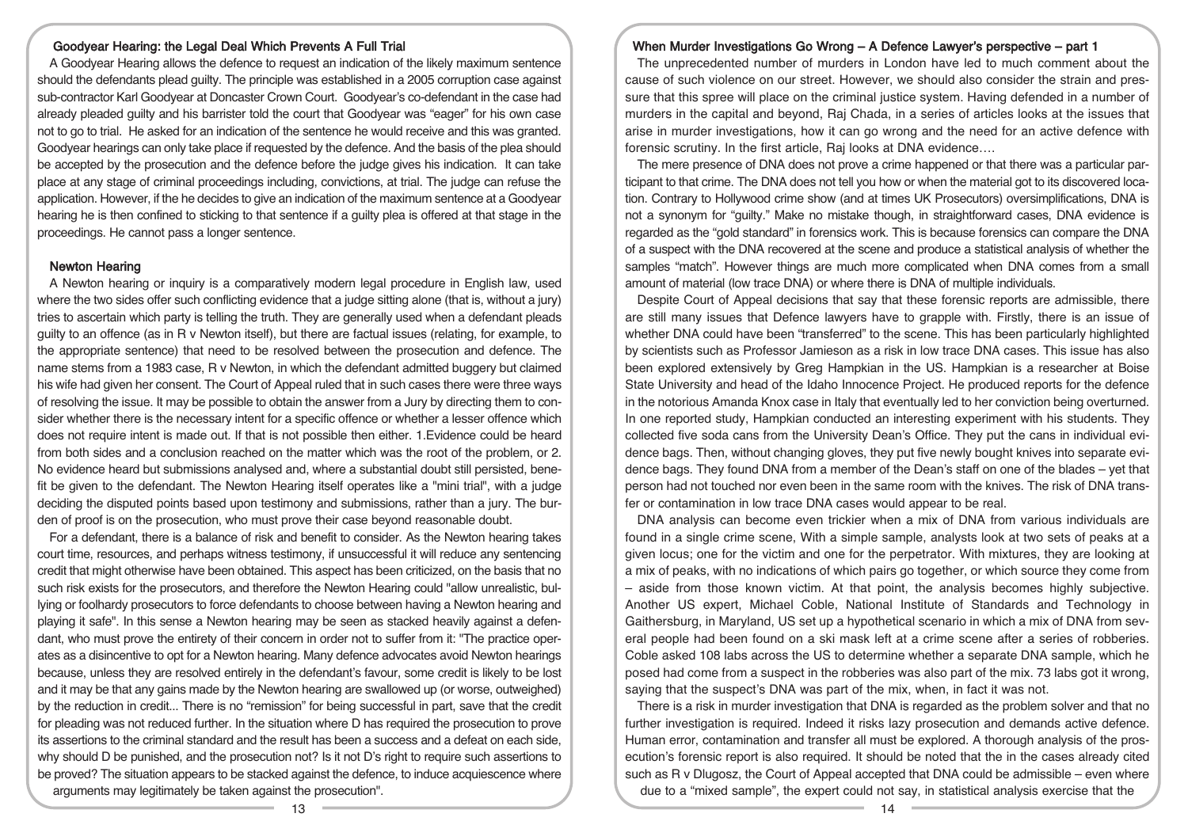## Goodyear Hearing: the Legal Deal Which Prevents A Full Trial

A Goodyear Hearing allows the defence to request an indication of the likely maximum sentence should the defendants plead guilty. The principle was established in a 2005 corruption case against sub-contractor Karl Goodyear at Doncaster Crown Court. Goodyear's co-defendant in the case had already pleaded guilty and his barrister told the court that Goodyear was "eager" for his own case not to go to trial. He asked for an indication of the sentence he would receive and this was granted. Goodyear hearings can only take place if requested by the defence. And the basis of the plea should be accepted by the prosecution and the defence before the judge gives his indication. It can take place at any stage of criminal proceedings including, convictions, at trial. The judge can refuse the application. However, if the he decides to give an indication of the maximum sentence at a Goodyear hearing he is then confined to sticking to that sentence if a guilty plea is offered at that stage in the proceedings. He cannot pass a longer sentence.

## Newton Hearing

A Newton hearing or inquiry is a comparatively modern legal procedure in English law, used where the two sides offer such conflicting evidence that a judge sitting alone (that is, without a jury) tries to ascertain which party is telling the truth. They are generally used when a defendant pleads guilty to an offence (as in R v Newton itself), but there are factual issues (relating, for example, to the appropriate sentence) that need to be resolved between the prosecution and defence. The name stems from a 1983 case, R v Newton, in which the defendant admitted buggery but claimed his wife had given her consent. The Court of Appeal ruled that in such cases there were three ways of resolving the issue. It may be possible to obtain the answer from a Jury by directing them to consider whether there is the necessary intent for a specific offence or whether a lesser offence which does not require intent is made out. If that is not possible then either. 1.Evidence could be heard from both sides and a conclusion reached on the matter which was the root of the problem, or 2. No evidence heard but submissions analysed and, where a substantial doubt still persisted, benefit be given to the defendant. The Newton Hearing itself operates like a "mini trial", with a judge deciding the disputed points based upon testimony and submissions, rather than a jury. The burden of proof is on the prosecution, who must prove their case beyond reasonable doubt.

For a defendant, there is a balance of risk and benefit to consider. As the Newton hearing takes court time, resources, and perhaps witness testimony, if unsuccessful it will reduce any sentencing credit that might otherwise have been obtained. This aspect has been criticized, on the basis that no such risk exists for the prosecutors, and therefore the Newton Hearing could "allow unrealistic, bullying or foolhardy prosecutors to force defendants to choose between having a Newton hearing and playing it safe". In this sense a Newton hearing may be seen as stacked heavily against a defendant, who must prove the entirety of their concern in order not to suffer from it: "The practice operates as a disincentive to opt for a Newton hearing. Many defence advocates avoid Newton hearings because, unless they are resolved entirely in the defendant's favour, some credit is likely to be lost and it may be that any gains made by the Newton hearing are swallowed up (or worse, outweighed) by the reduction in credit... There is no "remission" for being successful in part, save that the credit for pleading was not reduced further. In the situation where D has required the prosecution to prove its assertions to the criminal standard and the result has been a success and a defeat on each side, why should D be punished, and the prosecution not? Is it not D's right to require such assertions to be proved? The situation appears to be stacked against the defence, to induce acquiescence where arguments may legitimately be taken against the prosecution".

#### When Murder Investigations Go Wrong – A Defence Lawyer's perspective – part 1

The unprecedented number of murders in London have led to much comment about the cause of such violence on our street. However, we should also consider the strain and pressure that this spree will place on the criminal justice system. Having defended in a number of murders in the capital and beyond, Raj Chada, in a series of articles looks at the issues that arise in murder investigations, how it can go wrong and the need for an active defence with forensic scrutiny. In the first article, Raj looks at DNA evidence….

The mere presence of DNA does not prove a crime happened or that there was a particular participant to that crime. The DNA does not tell you how or when the material got to its discovered location. Contrary to Hollywood crime show (and at times UK Prosecutors) oversimplifications, DNA is not a synonym for "guilty." Make no mistake though, in straightforward cases, DNA evidence is regarded as the "gold standard" in forensics work. This is because forensics can compare the DNA of a suspect with the DNA recovered at the scene and produce a statistical analysis of whether the samples "match". However things are much more complicated when DNA comes from a small amount of material (low trace DNA) or where there is DNA of multiple individuals.

Despite Court of Appeal decisions that say that these forensic reports are admissible, there are still many issues that Defence lawyers have to grapple with. Firstly, there is an issue of whether DNA could have been "transferred" to the scene. This has been particularly highlighted by scientists such as Professor Jamieson as a risk in low trace DNA cases. This issue has also been explored extensively by Greg Hampkian in the US. Hampkian is a researcher at Boise State University and head of the Idaho Innocence Project. He produced reports for the defence in the notorious Amanda Knox case in Italy that eventually led to her conviction being overturned. In one reported study, Hampkian conducted an interesting experiment with his students. They collected five soda cans from the University Dean's Office. They put the cans in individual evidence bags. Then, without changing gloves, they put five newly bought knives into separate evidence bags. They found DNA from a member of the Dean's staff on one of the blades – yet that person had not touched nor even been in the same room with the knives. The risk of DNA transfer or contamination in low trace DNA cases would appear to be real.

DNA analysis can become even trickier when a mix of DNA from various individuals are found in a single crime scene, With a simple sample, analysts look at two sets of peaks at a given locus; one for the victim and one for the perpetrator. With mixtures, they are looking at a mix of peaks, with no indications of which pairs go together, or which source they come from – aside from those known victim. At that point, the analysis becomes highly subjective. Another US expert, Michael Coble, National Institute of Standards and Technology in Gaithersburg, in Maryland, US set up a hypothetical scenario in which a mix of DNA from several people had been found on a ski mask left at a crime scene after a series of robberies. Coble asked 108 labs across the US to determine whether a separate DNA sample, which he posed had come from a suspect in the robberies was also part of the mix. 73 labs got it wrong, saying that the suspect's DNA was part of the mix, when, in fact it was not.

There is a risk in murder investigation that DNA is regarded as the problem solver and that no further investigation is required. Indeed it risks lazy prosecution and demands active defence. Human error, contamination and transfer all must be explored. A thorough analysis of the prosecution's forensic report is also required. It should be noted that the in the cases already cited such as R v Dlugosz, the Court of Appeal accepted that DNA could be admissible – even where due to a "mixed sample", the expert could not say, in statistical analysis exercise that the